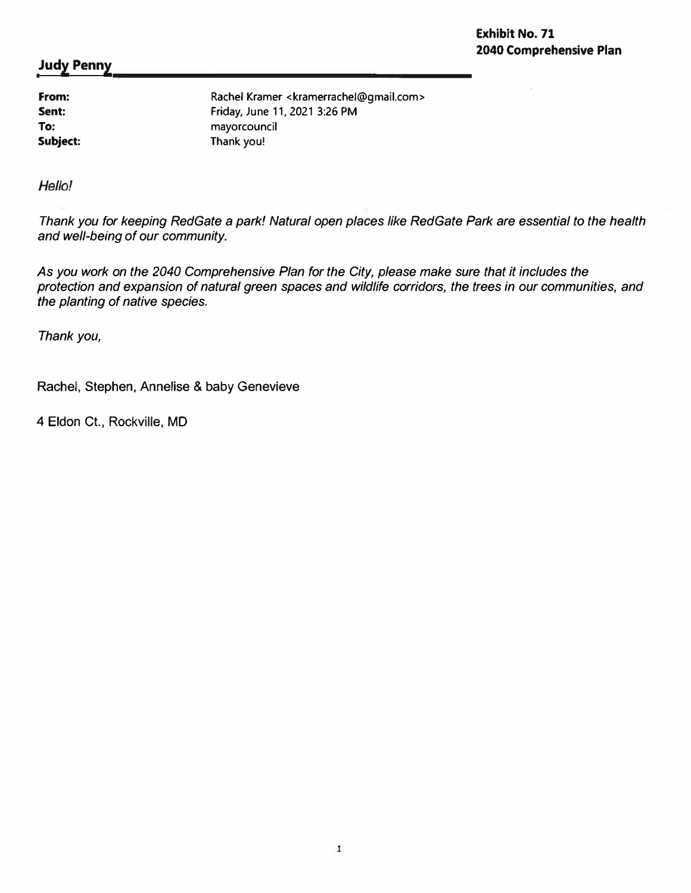**From: Sent: To: Subject:** 

Rachel Kramer <kramerrachel@gmail.com> Friday, June 11, 2021 3:26 PM mayorcouncil Thank you!

Hello!

*Thank you for keeping RedGate a park! Natural open places like RedGate Park are essential to the health and well-being of our community.* 

*As you work on the 2040 Comprehensive Plan for the City, please make sure that it includes the protection and expansion of natural green spaces and wildlife corridors, the trees in our communities, and the planting of native species.* 

*Thank you,* 

Rachel, Stephen, Annelise & baby Genevieve

4 Eldon Ct., Rockville, MD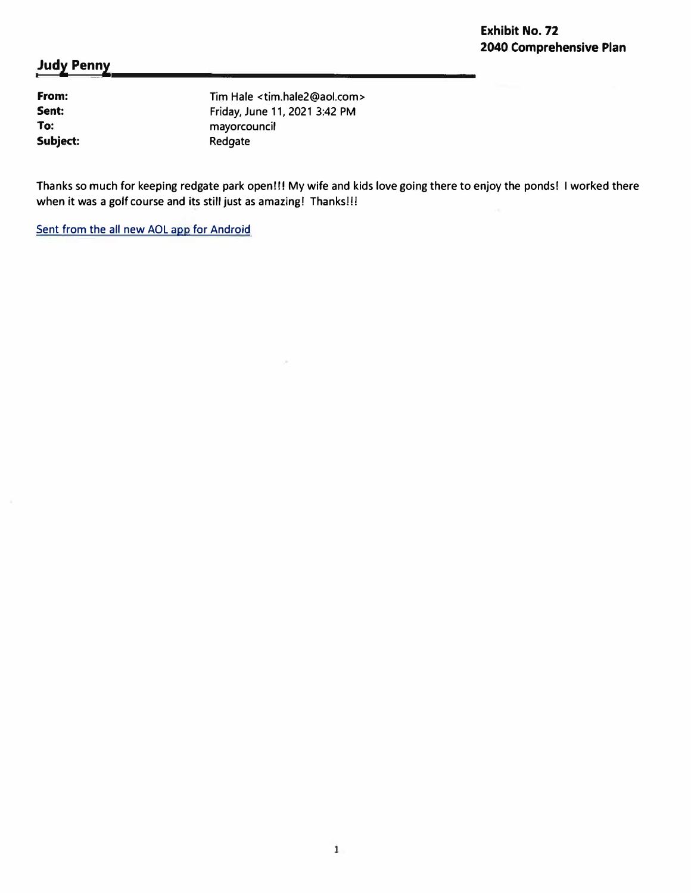**From: Sent: To: Subject:**  Tim Hale <tim.hale2@aol.com> Friday, June 11, 2021 3:42 PM mayorcouncil Redgate

Thanks so much for keeping redgate park open!!! My wife and kids love going there to enjoy the ponds! I worked there when it was a golf course and its still just as amazing! Thanks!!!

Sent from the all new AOL app for Android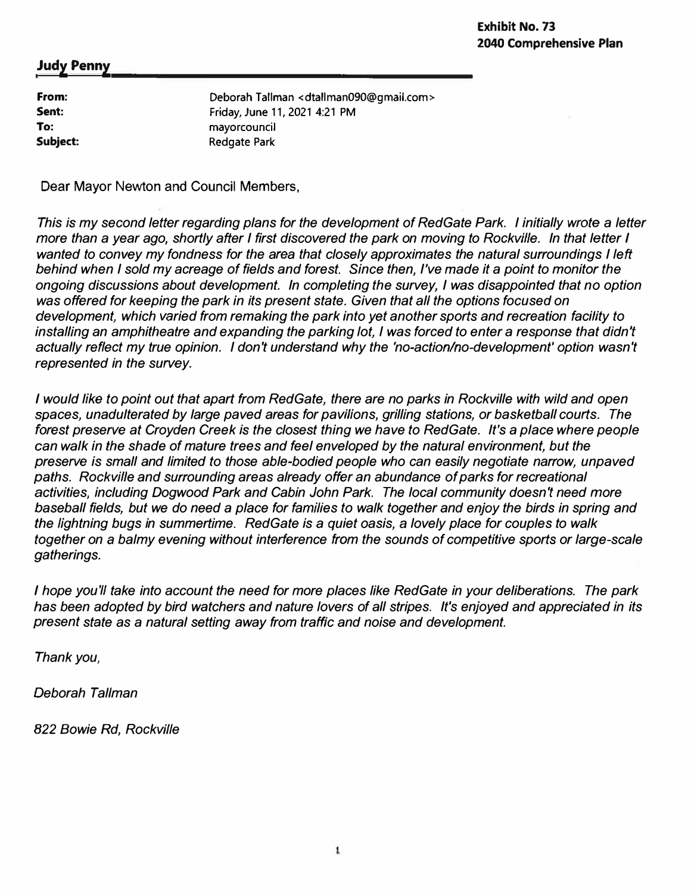| From:    | Deborah Tallman < dtallman090@gmail.com> |
|----------|------------------------------------------|
| Sent:    | Friday, June 11, 2021 4:21 PM            |
| To:      | mayorcouncil                             |
| Subject: | Redgate Park                             |
|          |                                          |

Dear Mayor Newton and Council Members,

*This* is *my second letter regarding plans for the development of RedGate Park. I initially wrote a letter more than a year ago, shortly after I first discovered the park on moving to Rockville. In that letter I*  wanted to convey my fondness for the area that closely approximates the natural surroundings I left *behind when I sold my acreage of fields and forest. Since then, I've made it a point to monitor the ongoing discussions about development. In completing the survey, I was disappointed that no option*  was *offered for keeping the park in its present state. Given that all the options focused on development, which varied from remaking the park into yet another sports and recreation facility to*  installing an amphitheatre and expanding the parking lot, I was forced to enter a response that didn't *actually reflect my true opinion. I don't understand why the 'no-action/no-development' option wasn't represented in the survey.* 

*I would like to point out that apart from RedGate, there are no parks in Rockville with wild and open spaces, unadulterated by large paved areas for pavilions, grilling stations, or basketball courts. The forest preserve at Croyden Creek* is *the closest thing we have to RedGate. It's a place where people can walk in the shade of mature trees and feel enveloped by the natural environment, but the preserve is small and limited to those able-bodied people who can easily negotiate narrow, unpaved paths. Rockville and surrounding areas already offer an abundance of parks for recreational activities, including Dogwood Park and Cabin John Park. The local community doesn't need more baseball fields, but we do need a place for families to walk together and enjoy the birds in spring and the lightning bugs in summertime. RedGate is a quiet oasis,* a *lovely place for couples to walk together on* a *balmy evening without interference from the sounds of competitive sports or large-scale gatherings.* 

*I hope you'll take into account the need for more places like RedGate in your deliberations. The park has been adopted by bird watchers and nature lovers of all stripes. It's enjoyed and appreciated in its present state as a natural setting away from traffic and noise and development.* 

*Thank you,* 

*Deborah Tallman* 

*822 Bowie Rd, Rockville*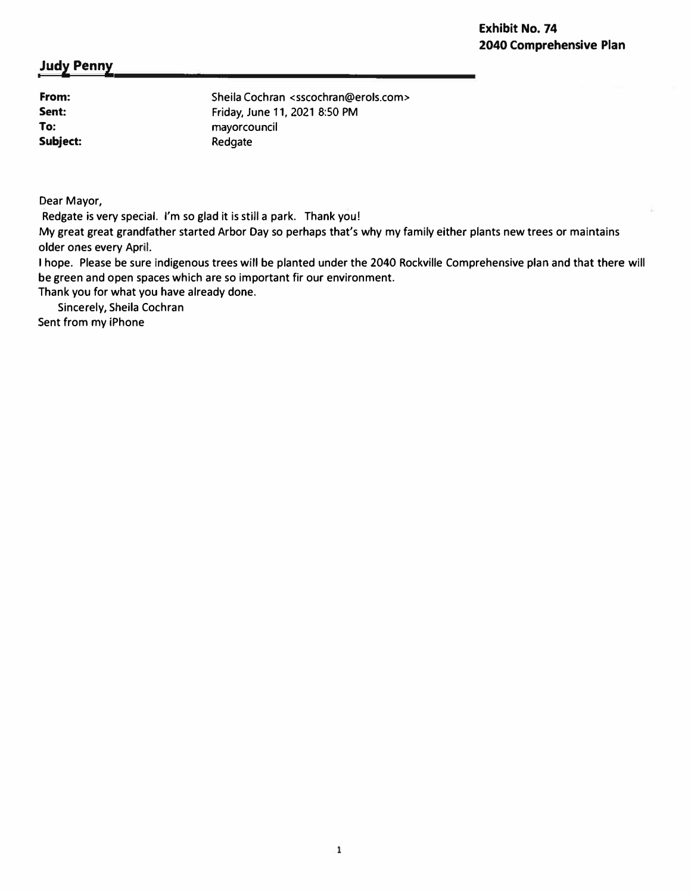**From: Sent: To: Subject:**  Sheila Cochran <sscochran@erols.com> Friday, June 11, 2021 8:50 PM mayorcouncil Redgate

Dear Mayor,

Redgate is very special. I'm so glad it is still a park. Thank you!

My great great grandfather started Arbor Day so perhaps that's why my family either plants new trees or maintains older ones every April.

I hope. Please be sure indigenous trees will be planted under the 2040 Rockville Comprehensive plan and that there will be green and open spaces which are so important fir our environment.

Thank you for what you have already done.

Sincerely, Sheila Cochran

Sent from my iPhone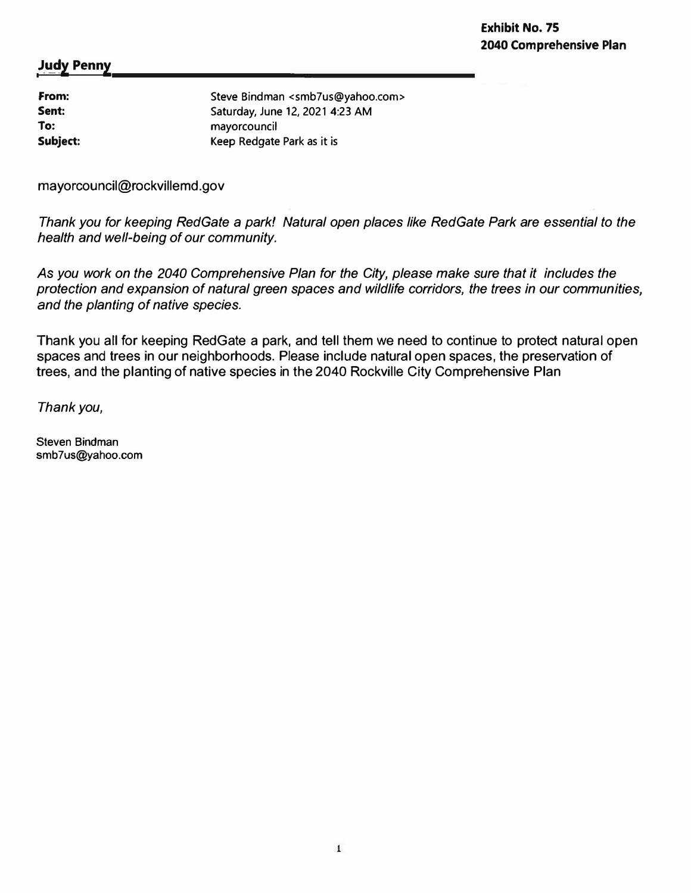| From:        | Steve Bindman <smb7us@yahoo.com></smb7us@yahoo.com> |
|--------------|-----------------------------------------------------|
| Sent:<br>To: | Saturday, June 12, 2021 4:23 AM<br>mayorcouncil     |
| Subject:     | Keep Redgate Park as it is                          |

mayorcouncil@rockvillemd.gov

*Thank you for keeping RedGate a park! Natural open places like RedGate Park are essential to the health and well-being of our community.* 

As *you work on the 2040 Comprehensive Plan for the City, please make sure that it includes the protection and expansion of natural green spaces and wildlife corridors, the trees in our communities, and the planting of native species.* 

Thank you all for keeping RedGate a park, and tell them we need to continue to protect natural open spaces and trees in our neighborhoods. Please include natural open spaces, the preservation of trees, and the planting of native species in the 2040 Rockville City Comprehensive Plan

*Thank you,* 

Steven Bindman smb7us@yahoo.com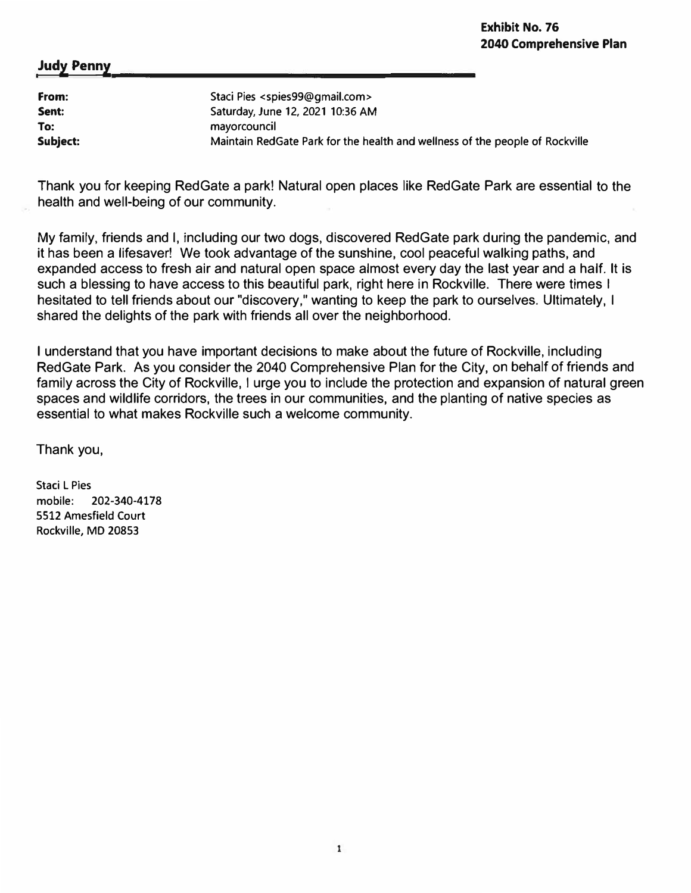| From:    | Staci Pies <spies99@gmail.com></spies99@gmail.com>                           |
|----------|------------------------------------------------------------------------------|
| Sent:    | Saturday, June 12, 2021 10:36 AM                                             |
| To:      | mayorcouncil                                                                 |
| Subject: | Maintain RedGate Park for the health and wellness of the people of Rockville |

Thank you for keeping RedGate a park! Natural open places like RedGate Park are essential to the health and well-being of our community.

My family, friends and I, including our two dogs, discovered RedGate park during the pandemic, and it has been a lifesaver! We took advantage of the sunshine, cool peaceful walking paths, and expanded access to fresh air and natural open space almost every day the last year and a half. It is such a blessing to have access to this beautiful park, right here in Rockville. There were times I hesitated to tell friends about our "discovery," wanting to keep the park to ourselves. Ultimately, I shared the delights of the park with friends all over the neighborhood.

I understand that you have important decisions to make about the future of Rockville, including Red Gate Park. As you consider the 2040 Comprehensive Plan for the City, on behalf of friends and family across the City of Rockville, I urge you to include the protection and expansion of natural green spaces and wildlife corridors, the trees in our communities, and the planting of native species as essential to what makes Rockville such a welcome community.

Thank you,

Staci L Pies mobile: **202-340-4178 5512** Amesfield Court Rockville, MD **20853**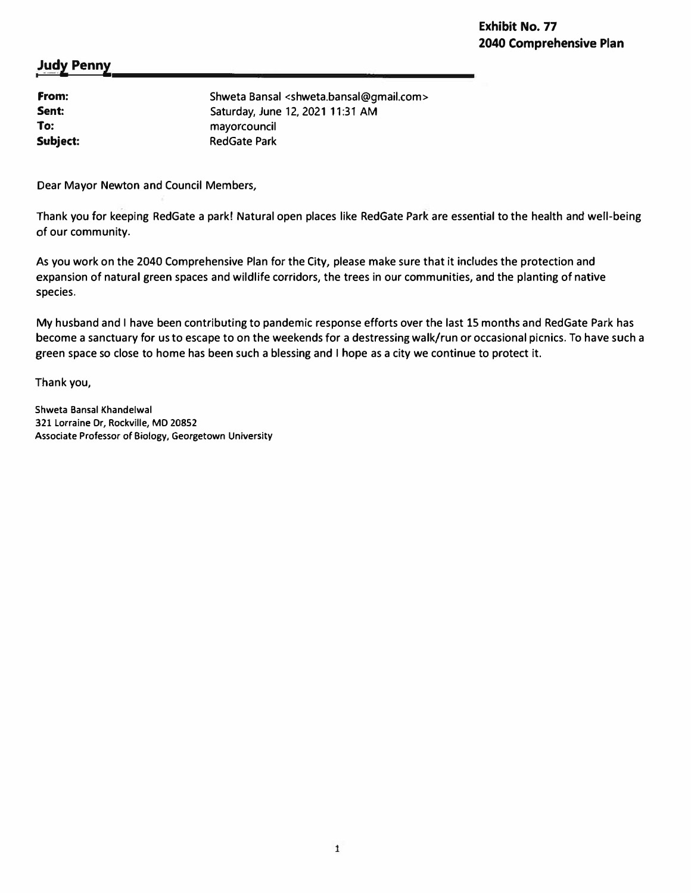| From:    | Shweta Bansal <shweta.bansal@gmail.com></shweta.bansal@gmail.com> |
|----------|-------------------------------------------------------------------|
| Sent:    | Saturday, June 12, 2021 11:31 AM                                  |
| To:      | mayorcouncil                                                      |
| Subject: | <b>RedGate Park</b>                                               |
|          |                                                                   |

Dear Mayor Newton and Council Members,

Thank you for keeping RedGate a park! Natural open places like RedGate Park are essential to the health and well-being of our community.

As you work on the 2040 Comprehensive Plan for the City, please make sure that it includes the protection and expansion of natural green spaces and wildlife corridors, the trees in our communities, and the planting of native species.

My husband and I have been contributing to pandemic response efforts over the last 15 months and RedGate Park has become a sanctuary for us to escape to on the weekends for a destressing walk/run or occasional picnics. To have such a green space so close to home has been such a blessing and I hope as a city we continue to protect it.

Thank you,

**Shweta Bansal Khandelwal 321 Lorraine Dr, Rockville, MD 20852 Associate Professor of Biology, Georgetown University**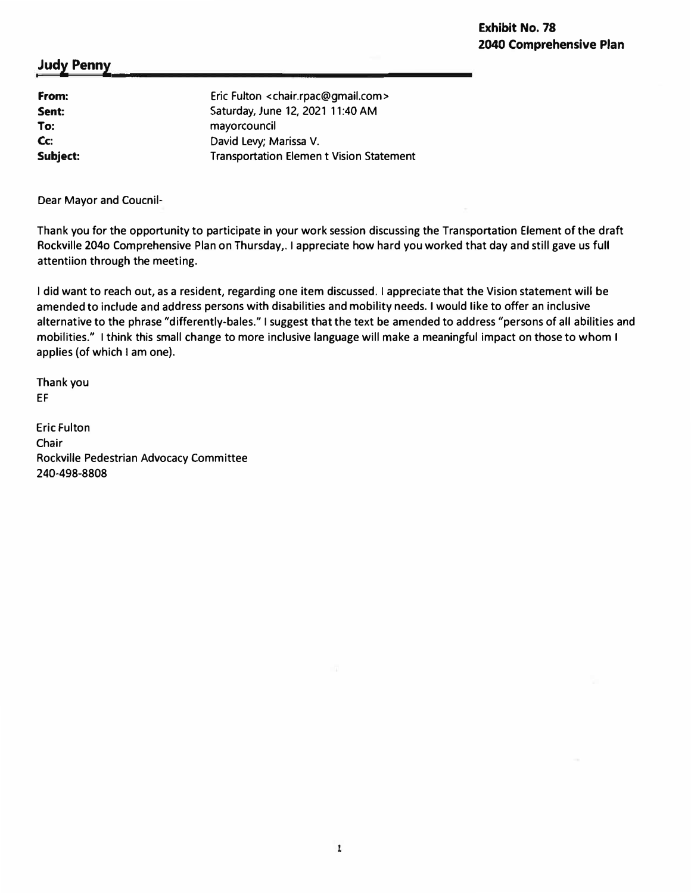# **Exhibit No. 78 2040 Comprehensive Plan**

### **Judy Penny**

**From: Sent: To: Cc: Subject:**  Eric Fulton <chair.rpac@gmail.com> Saturday, June 12, 2021 11:40 AM mayorcouncil David levy; Marissa V. Transportation Elemen t Vision Statement

Dear Mayor and Coucnil-

Thank you for the opportunity to participate in your work session discussing the Transportation Element of the draft Rockville 2040 Comprehensive Plan on Thursday,. I appreciate how hard you worked that day and still gave us full attentiion through the meeting.

I did want to reach out, as a resident, regarding one item discussed. I appreciate that the Vision statement will be amended to include and address persons with disabilities and mobility needs. I would like to offer an inclusive alternative to the phrase "differently-bales." I suggest that the text be amended to address "persons of all abilities and mobilities." I think this small change to more inclusive language will make a meaningful impact on those to whom I applies (of which I am one).

Thank you EF

Eric Fulton Chair Rockville Pedestrian Advocacy Committee **240-498-8808**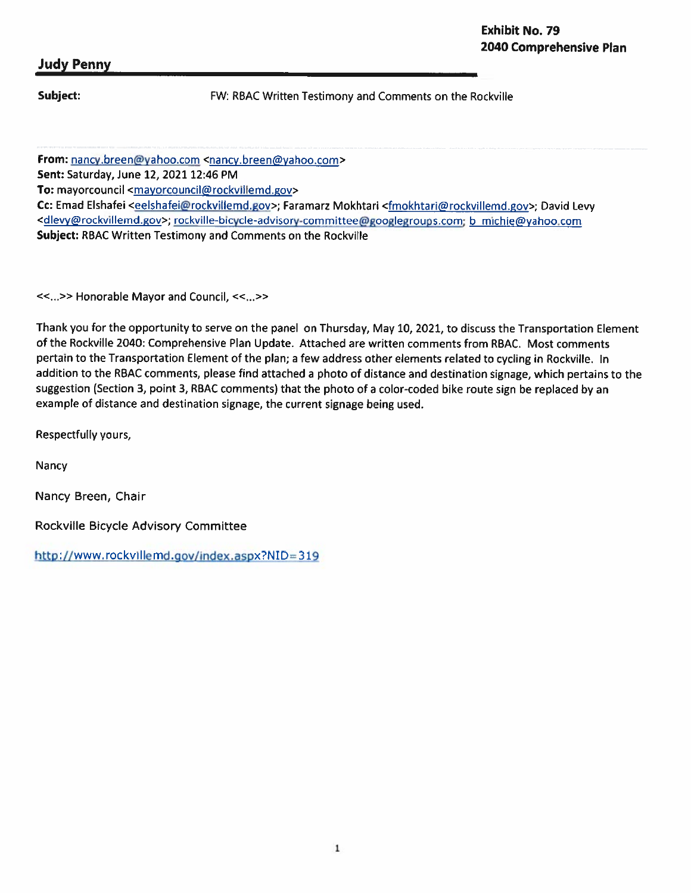Subject:

FW: RBAC Written Testimony and Comments on the Rockville

From: nancy.breen@yahoo.com <nancy.breen@yahoo.com>

Sent: Saturday, June 12, 2021 12:46 PM

To: mayorcouncil <mayorcouncil@rockvillemd.gov>

Cc: Emad Elshafei <eelshafei@rockvillemd.gov>; Faramarz Mokhtari <fmokhtari@rockvillemd.gov>; David Levy <dlevy@rockvillemd.gov>; rockville-bicycle-advisory-committee@googlegroups.com; b\_michie@yahoo.com Subject: RBAC Written Testimony and Comments on the Rockville

<<...>> Honorable Mayor and Council, <<...>>

Thank you for the opportunity to serve on the panel on Thursday, May 10, 2021, to discuss the Transportation Element of the Rockville 2040: Comprehensive Plan Update. Attached are written comments from RBAC. Most comments pertain to the Transportation Element of the plan; a few address other elements related to cycling in Rockville. In addition to the RBAC comments, please find attached a photo of distance and destination signage, which pertains to the suggestion (Section 3, point 3, RBAC comments) that the photo of a color-coded bike route sign be replaced by an example of distance and destination signage, the current signage being used.

Respectfully yours,

Nancy

Nancy Breen, Chair

Rockville Bicycle Advisory Committee

http://www.rockvillemd.gov/index.aspx?NID=319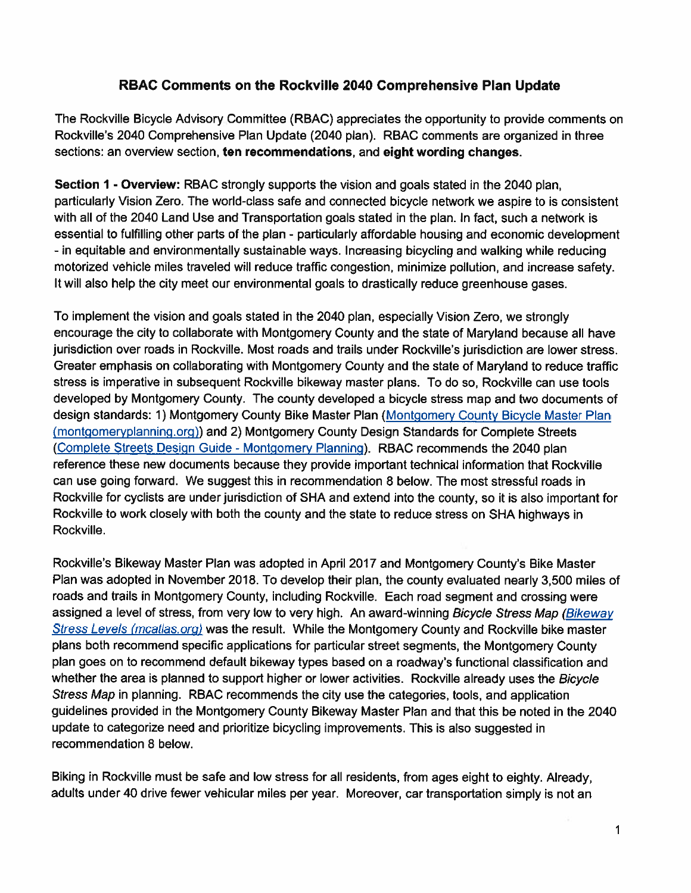# RBAC Comments on the Rockville 2040 Comprehensive Plan Update

The Rockville Bicycle Advisory Committee (RBAC) appreciates the opportunity to provide comments on Rockville's 2040 Comprehensive Plan Update (2040 plan). RBAC comments are organized in three sections: an overview section, ten recommendations, and eight wording changes.

Section 1 - Overview: RBAC strongly supports the vision and goals stated in the 2040 plan. particularly Vision Zero. The world-class safe and connected bicycle network we aspire to is consistent with all of the 2040 Land Use and Transportation goals stated in the plan. In fact, such a network is essential to fulfilling other parts of the plan - particularly affordable housing and economic development - in equitable and environmentally sustainable ways. Increasing bicycling and walking while reducing motorized vehicle miles traveled will reduce traffic congestion, minimize pollution, and increase safety. It will also help the city meet our environmental goals to drastically reduce greenhouse gases.

To implement the vision and goals stated in the 2040 plan, especially Vision Zero, we strongly encourage the city to collaborate with Montgomery County and the state of Maryland because all have jurisdiction over roads in Rockville. Most roads and trails under Rockville's jurisdiction are lower stress. Greater emphasis on collaborating with Montgomery County and the state of Maryland to reduce traffic stress is imperative in subsequent Rockville bikeway master plans. To do so, Rockville can use tools developed by Montgomery County. The county developed a bicycle stress map and two documents of design standards: 1) Montgomery County Bike Master Plan (Montgomery County Bicycle Master Plan (montgomeryplanning.org)) and 2) Montgomery County Design Standards for Complete Streets (Complete Streets Design Guide - Montgomery Planning). RBAC recommends the 2040 plan reference these new documents because they provide important technical information that Rockville can use going forward. We suggest this in recommendation 8 below. The most stressful roads in Rockville for cyclists are under jurisdiction of SHA and extend into the county, so it is also important for Rockville to work closely with both the county and the state to reduce stress on SHA highways in Rockville.

Rockville's Bikeway Master Plan was adopted in April 2017 and Montgomery County's Bike Master Plan was adopted in November 2018. To develop their plan, the county evaluated nearly 3,500 miles of roads and trails in Montgomery County, including Rockville. Each road segment and crossing were assigned a level of stress, from very low to very high. An award-winning Bicycle Stress Map (Bikeway Stress Levels (mcatlas.org) was the result. While the Montgomery County and Rockville bike master plans both recommend specific applications for particular street segments, the Montgomery County plan goes on to recommend default bikeway types based on a roadway's functional classification and whether the area is planned to support higher or lower activities. Rockville already uses the Bicycle Stress Map in planning. RBAC recommends the city use the categories, tools, and application guidelines provided in the Montgomery County Bikeway Master Plan and that this be noted in the 2040 update to categorize need and prioritize bicycling improvements. This is also suggested in recommendation 8 below.

Biking in Rockville must be safe and low stress for all residents, from ages eight to eighty. Already, adults under 40 drive fewer vehicular miles per year. Moreover, car transportation simply is not an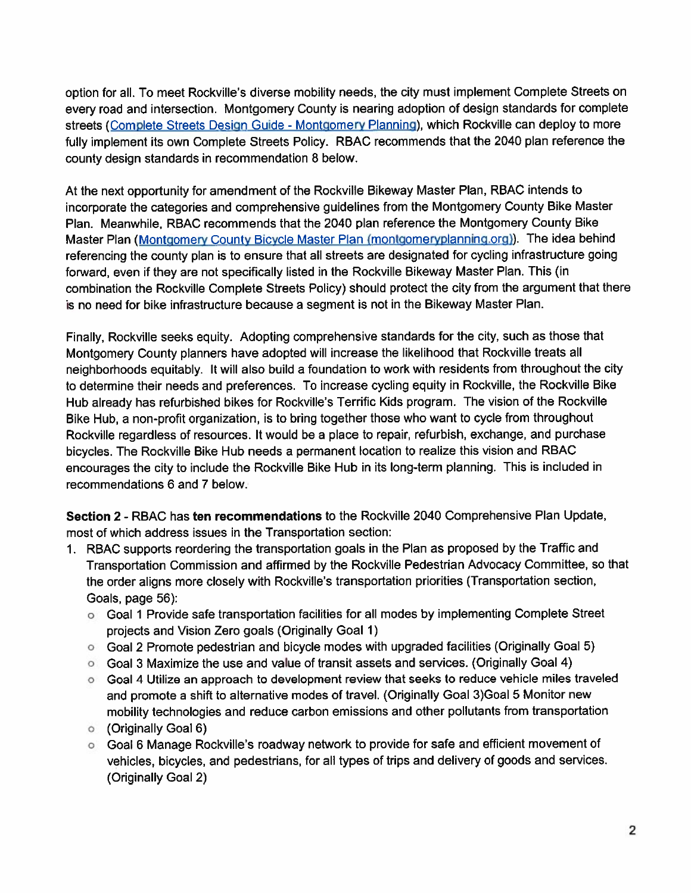option for all. To meet Rockville's diverse mobility needs, the city must implement Complete Streets on every road and intersection. Montgomery County is nearing adoption of design standards for complete streets (Complete Streets Design Guide - Montgomery Planning), which Rockville can deploy to more fully implement its own Complete Streets Policy. RBAC recommends that the 2040 plan reference the county design standards in recommendation 8 below.

At the next opportunity for amendment of the Rockville Bikeway Master Plan, RBAC intends to incorporate the categories and comprehensive guidelines from the Montgomery County Bike Master Plan. Meanwhile, RBAC recommends that the 2040 plan reference the Montgomery County Bike Master Plan (Montgomery County Bicycle Master Plan (montgomeryplanning.org)). The idea behind referencing the county plan is to ensure that all streets are designated for cycling infrastructure going forward, even if they are not specifically listed in the Rockville Bikeway Master Plan. This (in combination the Rockville Complete Streets Policy) should protect the city from the argument that there is no need for bike infrastructure because a segment is not in the Bikeway Master Plan.

Finally, Rockyille seeks equity. Adopting comprehensive standards for the city, such as those that Montgomery County planners have adopted will increase the likelihood that Rockville treats all neighborhoods equitably. It will also build a foundation to work with residents from throughout the city to determine their needs and preferences. To increase cycling equity in Rockville, the Rockville Bike Hub already has refurbished bikes for Rockville's Terrific Kids program. The vision of the Rockville Bike Hub, a non-profit organization, is to bring together those who want to cycle from throughout Rockville regardless of resources. It would be a place to repair, refurbish, exchange, and purchase bicycles. The Rockville Bike Hub needs a permanent location to realize this vision and RBAC encourages the city to include the Rockville Bike Hub in its long-term planning. This is included in recommendations 6 and 7 below.

Section 2 - RBAC has ten recommendations to the Rockville 2040 Comprehensive Plan Update, most of which address issues in the Transportation section:

- 1. RBAC supports reordering the transportation goals in the Plan as proposed by the Traffic and Transportation Commission and affirmed by the Rockville Pedestrian Advocacy Committee, so that the order aligns more closely with Rockville's transportation priorities (Transportation section, Goals, page 56):
	- o Goal 1 Provide safe transportation facilities for all modes by implementing Complete Street projects and Vision Zero goals (Originally Goal 1)
	- o Goal 2 Promote pedestrian and bicycle modes with upgraded facilities (Originally Goal 5)
	- Goal 3 Maximize the use and value of transit assets and services. (Originally Goal 4)
	- Goal 4 Utilize an approach to development review that seeks to reduce vehicle miles traveled and promote a shift to alternative modes of travel. (Originally Goal 3) Goal 5 Monitor new mobility technologies and reduce carbon emissions and other pollutants from transportation
	- (Originally Goal 6)  $\circ$
	- Goal 6 Manage Rockville's roadway network to provide for safe and efficient movement of vehicles, bicycles, and pedestrians, for all types of trips and delivery of goods and services. (Originally Goal 2)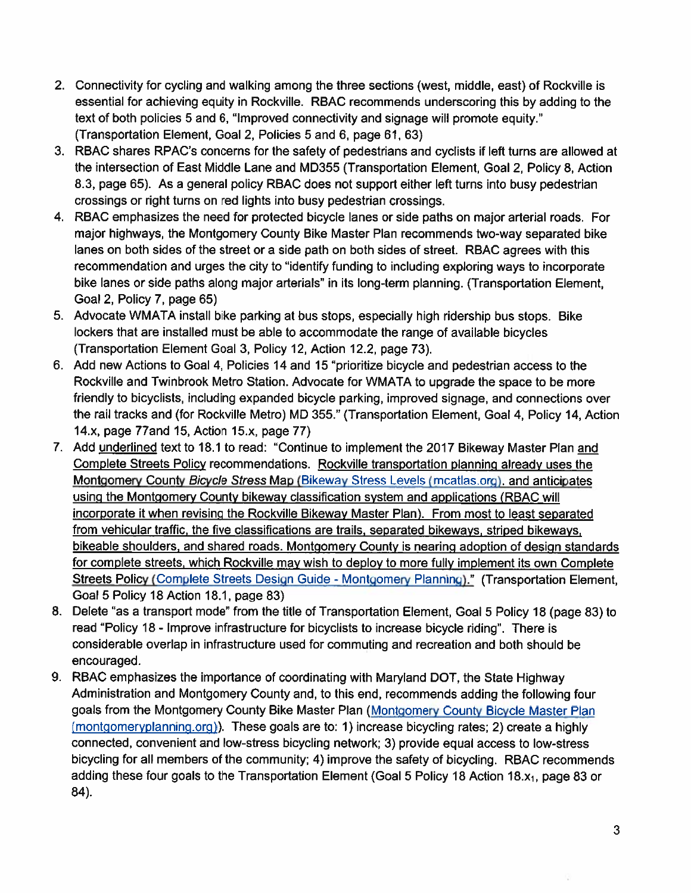- 2. Connectivity for cycling and walking among the three sections (west, middle, east) of Rockville is essential for achieving equity in Rockville. RBAC recommends underscoring this by adding to the text of both policies 5 and 6, "Improved connectivity and signage will promote equity." (Transportation Element, Goal 2, Policies 5 and 6, page 61, 63)
- 3. RBAC shares RPAC's concerns for the safety of pedestrians and cyclists if left turns are allowed at the intersection of East Middle Lane and MD355 (Transportation Element, Goal 2, Policy 8, Action 8.3, page 65). As a general policy RBAC does not support either left turns into busy pedestrian crossings or right turns on red lights into busy pedestrian crossings.
- 4. RBAC emphasizes the need for protected bicycle lanes or side paths on major arterial roads. For major highways, the Montgomery County Bike Master Plan recommends two-way separated bike lanes on both sides of the street or a side path on both sides of street. RBAC agrees with this recommendation and urges the city to "identify funding to including exploring ways to incorporate bike lanes or side paths along major arterials" in its long-term planning. (Transportation Element, Goal 2, Policy 7, page 65)
- 5. Advocate WMATA install bike parking at bus stops, especially high ridership bus stops. Bike lockers that are installed must be able to accommodate the range of available bicycles (Transportation Element Goal 3, Policy 12, Action 12.2, page 73).
- 6. Add new Actions to Goal 4, Policies 14 and 15 "prioritize bicycle and pedestrian access to the Rockville and Twinbrook Metro Station. Advocate for WMATA to upgrade the space to be more friendly to bicyclists, including expanded bicycle parking, improved signage, and connections over the rail tracks and (for Rockville Metro) MD 355." (Transportation Element, Goal 4, Policy 14, Action 14.x, page 77 and 15, Action 15.x, page 77)
- 7. Add underlined text to 18.1 to read: "Continue to implement the 2017 Bikeway Master Plan and Complete Streets Policy recommendations. Rockville transportation planning already uses the Montgomery County Bicycle Stress Map (Bikeway Stress Levels (mcatlas.org), and anticipates using the Montgomery County bikeway classification system and applications (RBAC will incorporate it when revising the Rockville Bikeway Master Plan). From most to least separated from vehicular traffic, the five classifications are trails, separated bikeways, striped bikeways, bikeable shoulders, and shared roads. Montgomery County is nearing adoption of design standards for complete streets, which Rockville may wish to deploy to more fully implement its own Complete Streets Policy (Complete Streets Design Guide - Montgomery Planning)." (Transportation Element, Goal 5 Policy 18 Action 18.1, page 83)
- 8. Delete "as a transport mode" from the title of Transportation Element, Goal 5 Policy 18 (page 83) to read "Policy 18 - Improve infrastructure for bicyclists to increase bicycle riding". There is considerable overlap in infrastructure used for commuting and recreation and both should be encouraged.
- 9. RBAC emphasizes the importance of coordinating with Maryland DOT, the State Highway Administration and Montgomery County and, to this end, recommends adding the following four goals from the Montgomery County Bike Master Plan (Montgomery County Bicycle Master Plan (montgomeryplanning.org)). These goals are to: 1) increase bicycling rates; 2) create a highly connected, convenient and low-stress bicycling network; 3) provide equal access to low-stress bicycling for all members of the community; 4) improve the safety of bicycling. RBAC recommends adding these four goals to the Transportation Element (Goal 5 Policy 18 Action 18.x<sub>1</sub>, page 83 or 84).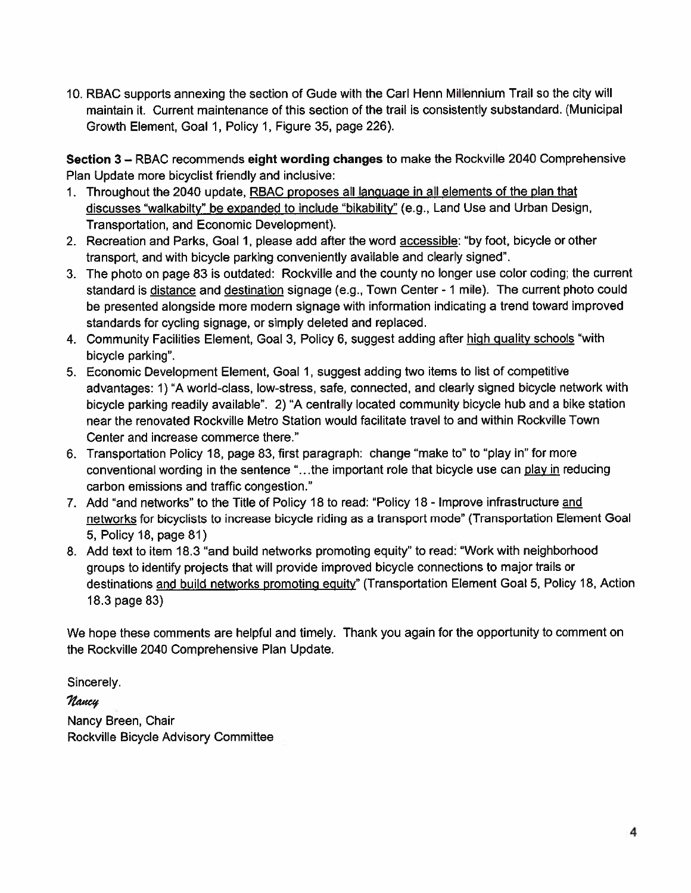10. RBAC supports annexing the section of Gude with the Carl Henn Millennium Trail so the city will maintain it. Current maintenance of this section of the trail is consistently substandard. (Municipal Growth Element, Goal 1, Policy 1, Figure 35, page 226).

Section 3 - RBAC recommends eight wording changes to make the Rockville 2040 Comprehensive Plan Update more bicyclist friendly and inclusive:

- 1. Throughout the 2040 update, RBAC proposes all language in all elements of the plan that discusses "walkabilty" be expanded to include "bikability" (e.g., Land Use and Urban Design, Transportation, and Economic Development).
- 2. Recreation and Parks, Goal 1, please add after the word accessible: "by foot, bicycle or other transport, and with bicycle parking conveniently available and clearly signed".
- 3. The photo on page 83 is outdated: Rockville and the county no longer use color coding; the current standard is distance and destination signage (e.g., Town Center - 1 mile). The current photo could be presented alongside more modern signage with information indicating a trend toward improved standards for cycling signage, or simply deleted and replaced.
- 4. Community Facilities Element, Goal 3, Policy 6, suggest adding after high quality schools "with bicycle parking".
- 5. Economic Development Element, Goal 1, suggest adding two items to list of competitive advantages: 1) "A world-class, low-stress, safe, connected, and clearly signed bicycle network with bicycle parking readily available". 2) "A centrally located community bicycle hub and a bike station near the renovated Rockville Metro Station would facilitate travel to and within Rockville Town Center and increase commerce there."
- 6. Transportation Policy 18, page 83, first paragraph: change "make to" to "play in" for more conventional wording in the sentence "...the important role that bicycle use can play in reducing carbon emissions and traffic congestion."
- 7. Add "and networks" to the Title of Policy 18 to read: "Policy 18 Improve infrastructure and networks for bicyclists to increase bicycle riding as a transport mode" (Transportation Element Goal 5, Policy 18, page 81)
- 8. Add text to item 18.3 "and build networks promoting equity" to read: "Work with neighborhood groups to identify projects that will provide improved bicycle connections to major trails or destinations and build networks promoting equity" (Transportation Element Goal 5, Policy 18, Action 18.3 page 83)

We hope these comments are helpful and timely. Thank you again for the opportunity to comment on the Rockville 2040 Comprehensive Plan Update.

Sincerely.

Nancy

Nancy Breen, Chair **Rockville Bicycle Advisory Committee**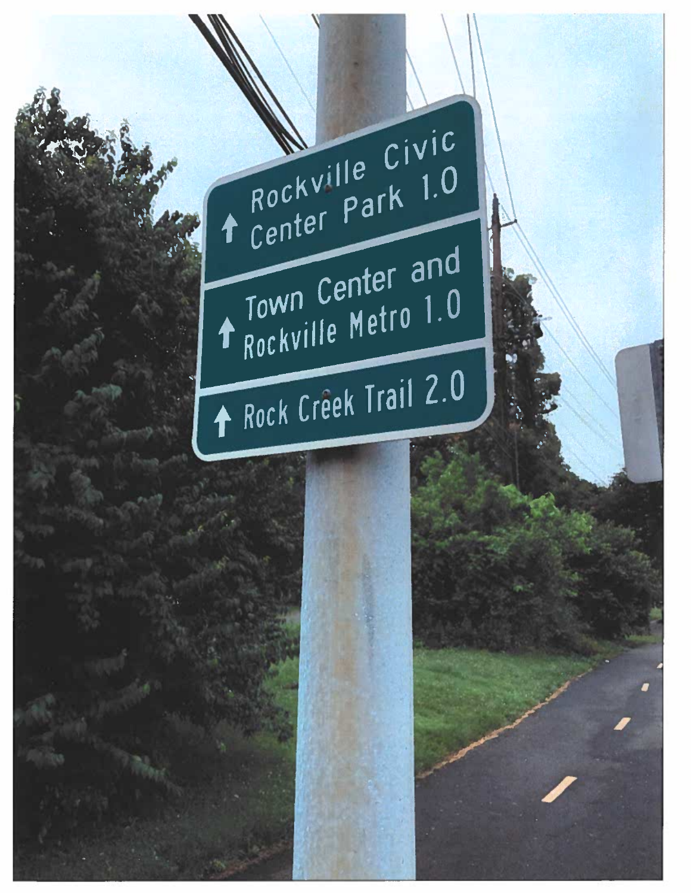